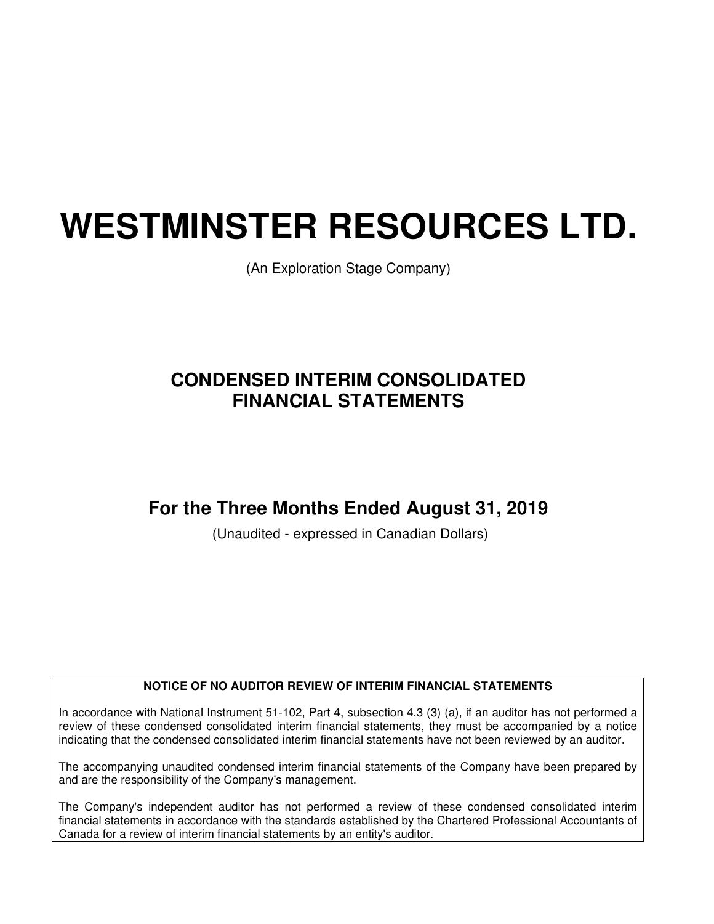# **WESTMINSTER RESOURCES LTD.**

(An Exploration Stage Company)

# **CONDENSED INTERIM CONSOLIDATED FINANCIAL STATEMENTS**

# **For the Three Months Ended August 31, 2019**

(Unaudited - expressed in Canadian Dollars)

#### **NOTICE OF NO AUDITOR REVIEW OF INTERIM FINANCIAL STATEMENTS**

In accordance with National Instrument 51-102, Part 4, subsection 4.3 (3) (a), if an auditor has not performed a review of these condensed consolidated interim financial statements, they must be accompanied by a notice indicating that the condensed consolidated interim financial statements have not been reviewed by an auditor.

The accompanying unaudited condensed interim financial statements of the Company have been prepared by and are the responsibility of the Company's management.

The Company's independent auditor has not performed a review of these condensed consolidated interim financial statements in accordance with the standards established by the Chartered Professional Accountants of Canada for a review of interim financial statements by an entity's auditor.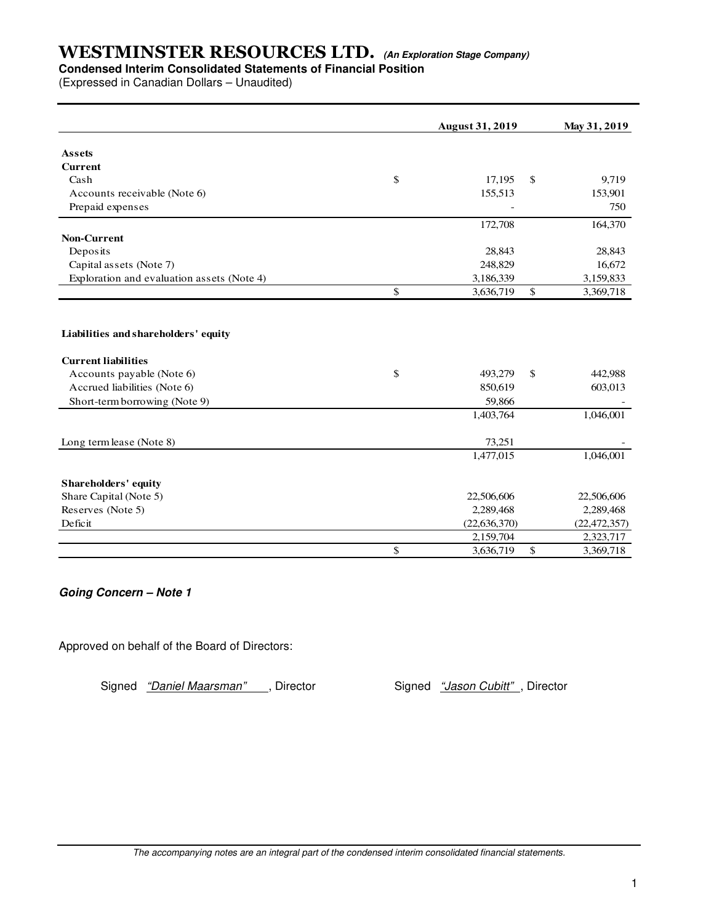## **Condensed Interim Consolidated Statements of Financial Position**

(Expressed in Canadian Dollars – Unaudited)

|                                            |               | <b>August 31, 2019</b> | May 31, 2019    |
|--------------------------------------------|---------------|------------------------|-----------------|
| <b>Assets</b>                              |               |                        |                 |
| <b>Current</b>                             |               |                        |                 |
| Cash                                       | \$            | 17,195                 | \$<br>9,719     |
| Accounts receivable (Note 6)               |               | 155,513                | 153,901         |
| Prepaid expenses                           |               |                        | 750             |
|                                            |               | 172,708                | 164,370         |
| <b>Non-Current</b>                         |               |                        |                 |
| Deposits                                   |               | 28,843                 | 28,843          |
| Capital assets (Note 7)                    |               | 248,829                | 16,672          |
| Exploration and evaluation assets (Note 4) |               | 3,186,339              | 3,159,833       |
|                                            | $\mathsf{\$}$ | 3,636,719              | \$<br>3,369,718 |
|                                            |               |                        |                 |
| Liabilities and shareholders' equity       |               |                        |                 |
| <b>Current liabilities</b>                 |               |                        |                 |
| Accounts payable (Note 6)                  | \$            | 493,279                | \$<br>442,988   |
| Accrued liabilities (Note 6)               |               | 850,619                | 603,013         |
| Short-term borrowing (Note 9)              |               | 59,866                 |                 |
|                                            |               | 1,403,764              | 1,046,001       |
| Long term lease (Note 8)                   |               | 73,251                 |                 |
|                                            |               | 1,477,015              | 1,046,001       |
|                                            |               |                        |                 |
| <b>Shareholders' equity</b>                |               |                        |                 |
| Share Capital (Note 5)                     |               | 22,506,606             | 22,506,606      |
| Reserves (Note 5)                          |               | 2,289,468              | 2,289,468       |
| Deficit                                    |               | (22, 636, 370)         | (22, 472, 357)  |
|                                            |               | 2,159,704              | 2,323,717       |
|                                            | \$            | 3,636,719              | \$<br>3,369,718 |

**Going Concern – Note 1** 

Approved on behalf of the Board of Directors:

Signed "Daniel Maarsman" , Director Signed "Jason Cubitt", Director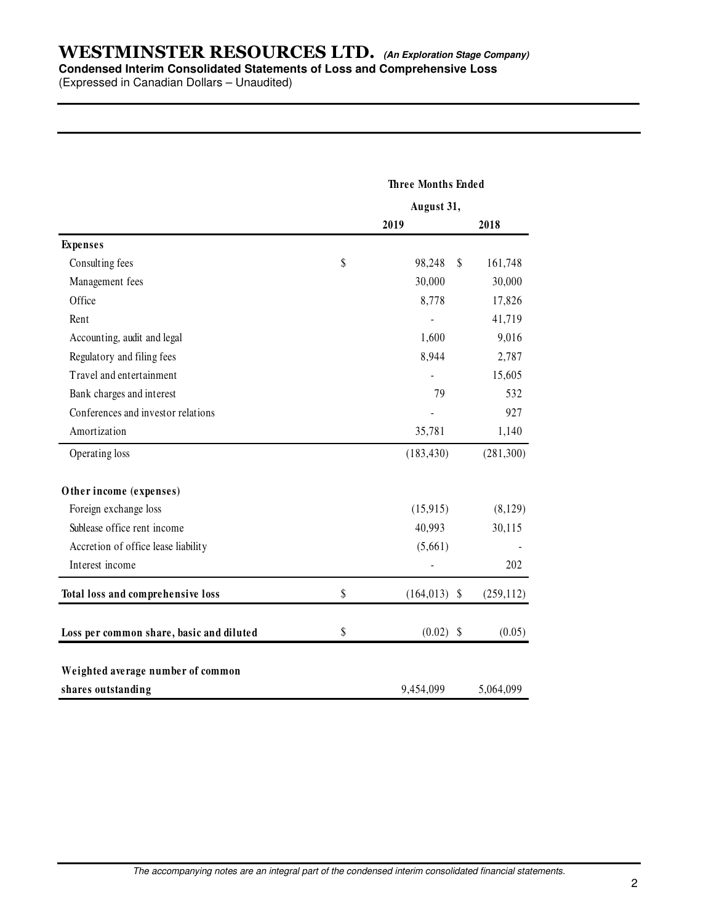## **WESTMINSTER RESOURCES LTD. (An Exploration Stage Company) Condensed Interim Consolidated Statements of Loss and Comprehensive Loss**

(Expressed in Canadian Dollars – Unaudited)

|                                          | <b>Three Months Ended</b> |            |
|------------------------------------------|---------------------------|------------|
|                                          | August 31,                |            |
|                                          | 2019                      | 2018       |
| <b>Expenses</b>                          |                           |            |
| Consulting fees                          | \$<br>98,248<br>\$        | 161,748    |
| Management fees                          | 30,000                    | 30,000     |
| Office                                   | 8,778                     | 17,826     |
| Rent                                     |                           | 41,719     |
| Accounting, audit and legal              | 1,600                     | 9,016      |
| Regulatory and filing fees               | 8,944                     | 2,787      |
| Travel and entertainment                 |                           | 15,605     |
| Bank charges and interest                | 79                        | 532        |
| Conferences and investor relations       |                           | 927        |
| Amortization                             | 35,781                    | 1,140      |
| Operating loss                           | (183, 430)                | (281,300)  |
| Other income (expenses)                  |                           |            |
| Foreign exchange loss                    | (15,915)                  | (8,129)    |
| Sublease office rent income              | 40,993                    | 30,115     |
| Accretion of office lease liability      | (5,661)                   |            |
| Interest income                          |                           | 202        |
| Total loss and comprehensive loss        | \$<br>$(164, 013)$ \$     | (259, 112) |
| Loss per common share, basic and diluted | \$<br>$(0.02)$ \$         | (0.05)     |
| Weighted average number of common        |                           |            |
| shares outstanding                       | 9,454,099                 | 5,064,099  |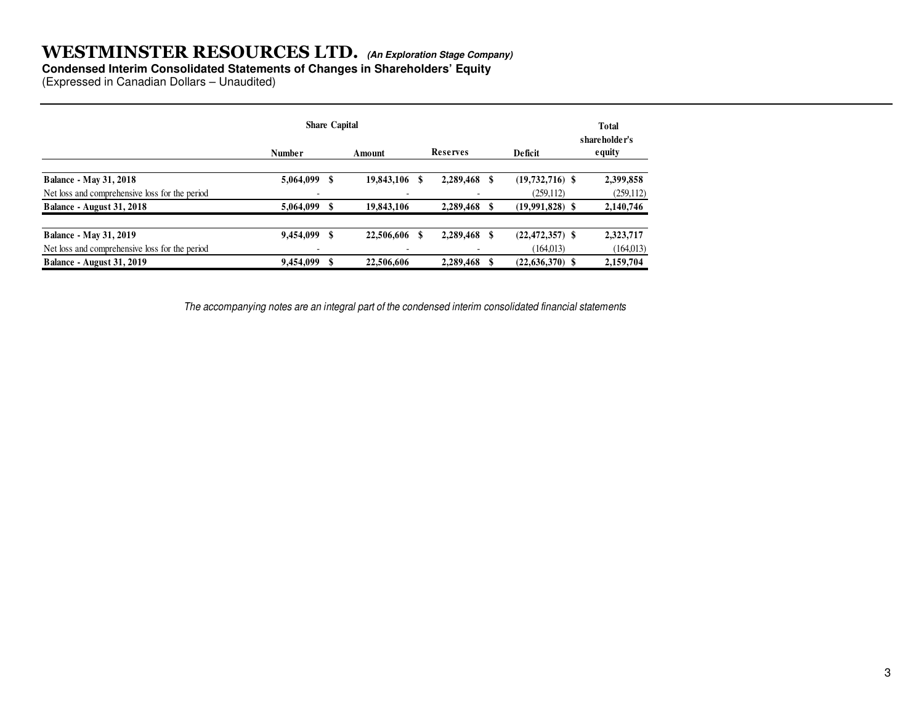#### **Condensed Interim Consolidated Statements of Changes in Shareholders' Equity**

(Expressed in Canadian Dollars – Unaudited)

|                                                | <b>Share Capital</b> |      |               |  |           |   |                     | <b>Total</b><br>shareholder's |  |
|------------------------------------------------|----------------------|------|---------------|--|-----------|---|---------------------|-------------------------------|--|
|                                                | <b>Number</b>        |      | Amount        |  | Reserves  |   | <b>Deficit</b>      | equity                        |  |
| <b>Balance - May 31, 2018</b>                  | 5,064,099            | - \$ | 19,843,106 \$ |  | 2,289,468 |   | $(19,732,716)$ \$   | 2,399,858                     |  |
| Net loss and comprehensive loss for the period |                      |      |               |  |           |   | (259, 112)          | (259, 112)                    |  |
| Balance - August 31, 2018                      | 5,064,099            |      | 19,843,106    |  | 2,289,468 |   | $(19,991,828)$ \$   | 2,140,746                     |  |
| <b>Balance - May 31, 2019</b>                  | 9,454,099            | - \$ | 22,506,606 \$ |  | 2,289,468 | S | $(22, 472, 357)$ \$ | 2,323,717                     |  |
| Net loss and comprehensive loss for the period |                      |      |               |  |           |   | (164,013)           | (164, 013)                    |  |
| Balance - August 31, 2019                      | 9,454,099            |      | 22,506,606    |  | 2,289,468 |   | $(22, 636, 370)$ \$ | 2,159,704                     |  |

The accompanying notes are an integral part of the condensed interim consolidated financial statements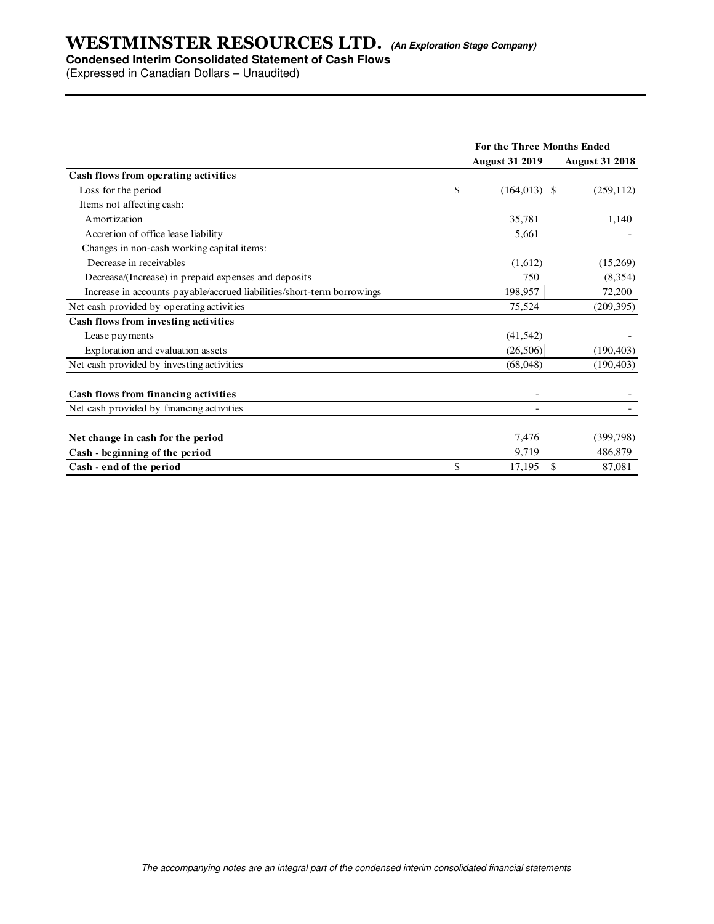### **Condensed Interim Consolidated Statement of Cash Flows**

(Expressed in Canadian Dollars – Unaudited)

|                                                                        | <b>For the Three Months Ended</b> |                       |  |
|------------------------------------------------------------------------|-----------------------------------|-----------------------|--|
|                                                                        | <b>August 31 2019</b>             | <b>August 31 2018</b> |  |
| Cash flows from operating activities                                   |                                   |                       |  |
| Loss for the period                                                    | \$<br>$(164,013)$ \$              | (259, 112)            |  |
| Items not affecting cash:                                              |                                   |                       |  |
| Amortization                                                           | 35,781                            | 1,140                 |  |
| Accretion of office lease liability                                    | 5,661                             |                       |  |
| Changes in non-cash working capital items:                             |                                   |                       |  |
| Decrease in receivables                                                | (1,612)                           | (15,269)              |  |
| Decrease/(Increase) in prepaid expenses and deposits                   | 750                               | (8,354)               |  |
| Increase in accounts payable/accrued liabilities/short-term borrowings | 198,957                           | 72,200                |  |
| Net cash provided by operating activities                              | 75,524                            | (209, 395)            |  |
| Cash flows from investing activities                                   |                                   |                       |  |
| Lease payments                                                         | (41, 542)                         |                       |  |
| Exploration and evaluation assets                                      | (26,506)                          | (190, 403)            |  |
| Net cash provided by investing activities                              | (68,048)                          | (190, 403)            |  |
| Cash flows from financing activities                                   |                                   |                       |  |
| Net cash provided by financing activities                              |                                   |                       |  |
| Net change in cash for the period                                      | 7,476                             | (399, 798)            |  |
| Cash - beginning of the period                                         | 9,719                             | 486,879               |  |
| Cash - end of the period                                               | \$<br>\$<br>17,195                | 87,081                |  |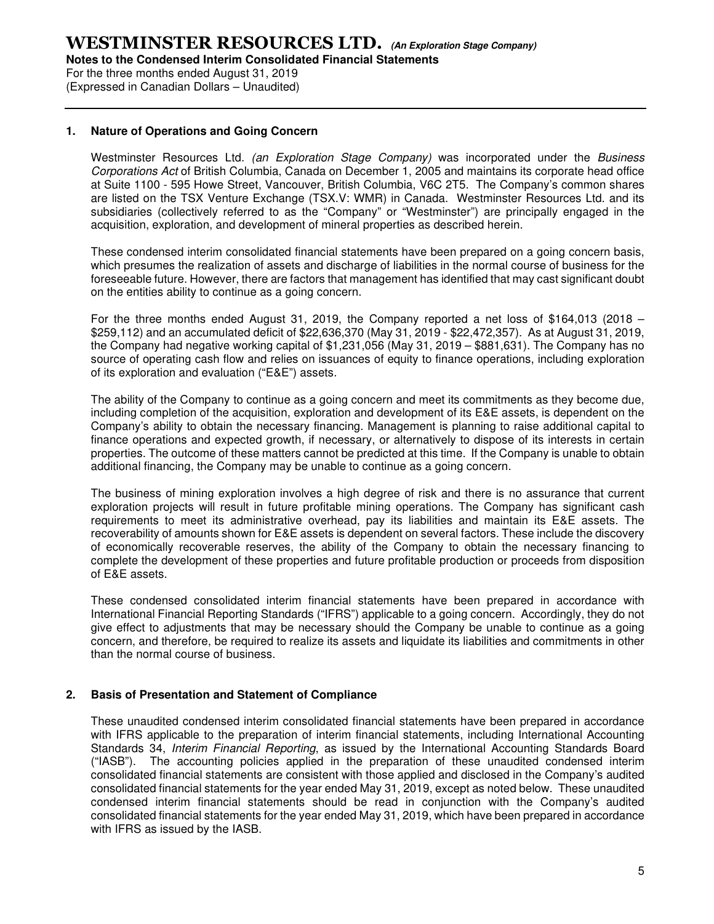For the three months ended August 31, 2019 (Expressed in Canadian Dollars – Unaudited)

#### **1. Nature of Operations and Going Concern**

Westminster Resources Ltd. (an Exploration Stage Company) was incorporated under the Business Corporations Act of British Columbia, Canada on December 1, 2005 and maintains its corporate head office at Suite 1100 - 595 Howe Street, Vancouver, British Columbia, V6C 2T5. The Company's common shares are listed on the TSX Venture Exchange (TSX.V: WMR) in Canada. Westminster Resources Ltd. and its subsidiaries (collectively referred to as the "Company" or "Westminster") are principally engaged in the acquisition, exploration, and development of mineral properties as described herein.

These condensed interim consolidated financial statements have been prepared on a going concern basis, which presumes the realization of assets and discharge of liabilities in the normal course of business for the foreseeable future. However, there are factors that management has identified that may cast significant doubt on the entities ability to continue as a going concern.

For the three months ended August 31, 2019, the Company reported a net loss of \$164,013 (2018 – \$259,112) and an accumulated deficit of \$22,636,370 (May 31, 2019 - \$22,472,357). As at August 31, 2019, the Company had negative working capital of \$1,231,056 (May 31, 2019 – \$881,631). The Company has no source of operating cash flow and relies on issuances of equity to finance operations, including exploration of its exploration and evaluation ("E&E") assets.

The ability of the Company to continue as a going concern and meet its commitments as they become due, including completion of the acquisition, exploration and development of its E&E assets, is dependent on the Company's ability to obtain the necessary financing. Management is planning to raise additional capital to finance operations and expected growth, if necessary, or alternatively to dispose of its interests in certain properties. The outcome of these matters cannot be predicted at this time. If the Company is unable to obtain additional financing, the Company may be unable to continue as a going concern.

The business of mining exploration involves a high degree of risk and there is no assurance that current exploration projects will result in future profitable mining operations. The Company has significant cash requirements to meet its administrative overhead, pay its liabilities and maintain its E&E assets. The recoverability of amounts shown for E&E assets is dependent on several factors. These include the discovery of economically recoverable reserves, the ability of the Company to obtain the necessary financing to complete the development of these properties and future profitable production or proceeds from disposition of E&E assets.

These condensed consolidated interim financial statements have been prepared in accordance with International Financial Reporting Standards ("IFRS") applicable to a going concern. Accordingly, they do not give effect to adjustments that may be necessary should the Company be unable to continue as a going concern, and therefore, be required to realize its assets and liquidate its liabilities and commitments in other than the normal course of business.

#### **2. Basis of Presentation and Statement of Compliance**

These unaudited condensed interim consolidated financial statements have been prepared in accordance with IFRS applicable to the preparation of interim financial statements, including International Accounting Standards 34, Interim Financial Reporting, as issued by the International Accounting Standards Board ("IASB"). The accounting policies applied in the preparation of these unaudited condensed interim consolidated financial statements are consistent with those applied and disclosed in the Company's audited consolidated financial statements for the year ended May 31, 2019, except as noted below. These unaudited condensed interim financial statements should be read in conjunction with the Company's audited consolidated financial statements for the year ended May 31, 2019, which have been prepared in accordance with IFRS as issued by the IASB.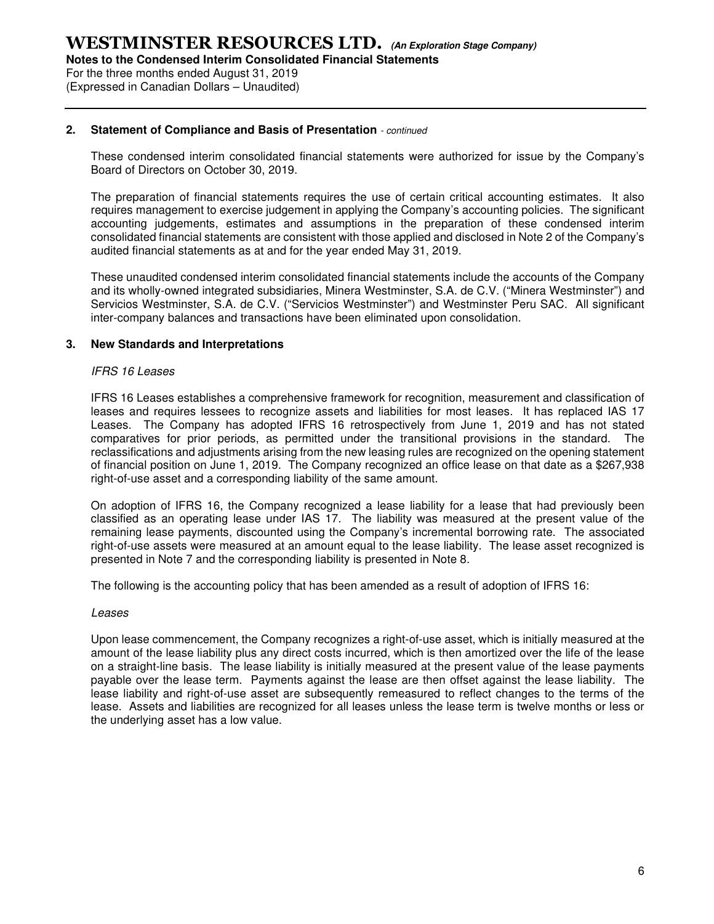**Notes to the Condensed Interim Consolidated Financial Statements** 

For the three months ended August 31, 2019 (Expressed in Canadian Dollars – Unaudited)

#### **2. Statement of Compliance and Basis of Presentation** - continued

These condensed interim consolidated financial statements were authorized for issue by the Company's Board of Directors on October 30, 2019.

The preparation of financial statements requires the use of certain critical accounting estimates. It also requires management to exercise judgement in applying the Company's accounting policies. The significant accounting judgements, estimates and assumptions in the preparation of these condensed interim consolidated financial statements are consistent with those applied and disclosed in Note 2 of the Company's audited financial statements as at and for the year ended May 31, 2019.

These unaudited condensed interim consolidated financial statements include the accounts of the Company and its wholly-owned integrated subsidiaries, Minera Westminster, S.A. de C.V. ("Minera Westminster") and Servicios Westminster, S.A. de C.V. ("Servicios Westminster") and Westminster Peru SAC. All significant inter-company balances and transactions have been eliminated upon consolidation.

#### **3. New Standards and Interpretations**

#### IFRS 16 Leases

IFRS 16 Leases establishes a comprehensive framework for recognition, measurement and classification of leases and requires lessees to recognize assets and liabilities for most leases. It has replaced IAS 17 Leases. The Company has adopted IFRS 16 retrospectively from June 1, 2019 and has not stated comparatives for prior periods, as permitted under the transitional provisions in the standard. The reclassifications and adjustments arising from the new leasing rules are recognized on the opening statement of financial position on June 1, 2019. The Company recognized an office lease on that date as a \$267,938 right-of-use asset and a corresponding liability of the same amount.

On adoption of IFRS 16, the Company recognized a lease liability for a lease that had previously been classified as an operating lease under IAS 17. The liability was measured at the present value of the remaining lease payments, discounted using the Company's incremental borrowing rate. The associated right-of-use assets were measured at an amount equal to the lease liability. The lease asset recognized is presented in Note 7 and the corresponding liability is presented in Note 8.

The following is the accounting policy that has been amended as a result of adoption of IFRS 16:

#### Leases

Upon lease commencement, the Company recognizes a right-of-use asset, which is initially measured at the amount of the lease liability plus any direct costs incurred, which is then amortized over the life of the lease on a straight-line basis. The lease liability is initially measured at the present value of the lease payments payable over the lease term. Payments against the lease are then offset against the lease liability. The lease liability and right-of-use asset are subsequently remeasured to reflect changes to the terms of the lease. Assets and liabilities are recognized for all leases unless the lease term is twelve months or less or the underlying asset has a low value.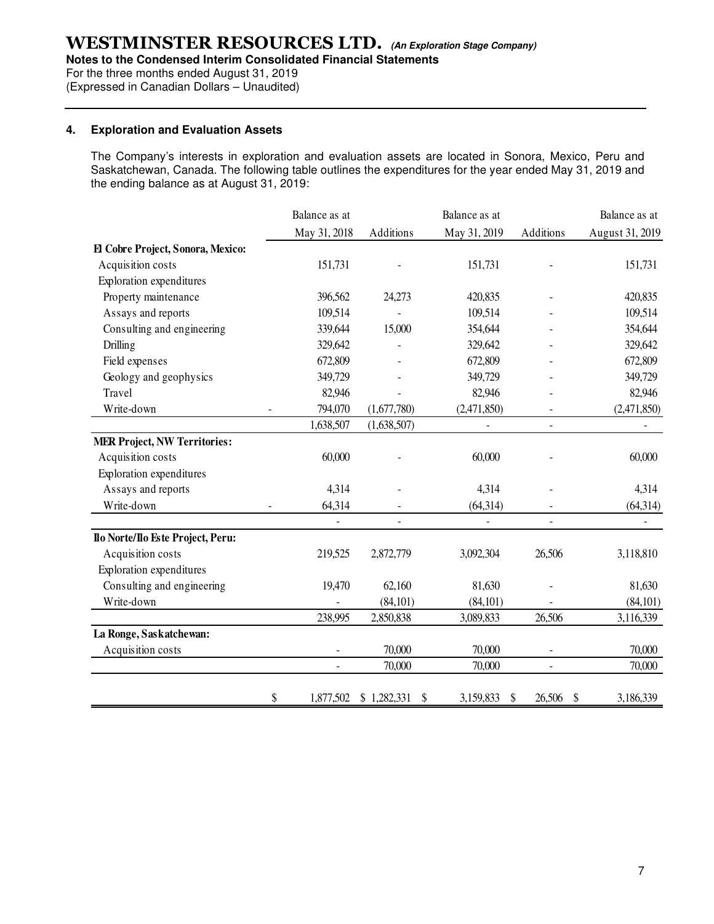**Notes to the Condensed Interim Consolidated Financial Statements** 

For the three months ended August 31, 2019

(Expressed in Canadian Dollars – Unaudited)

#### **4. Exploration and Evaluation Assets**

The Company's interests in exploration and evaluation assets are located in Sonora, Mexico, Peru and Saskatchewan, Canada. The following table outlines the expenditures for the year ended May 31, 2019 and the ending balance as at August 31, 2019:

|                                     | Balance as at            |                          | Balance as at     |                                     | Balance as at            |
|-------------------------------------|--------------------------|--------------------------|-------------------|-------------------------------------|--------------------------|
|                                     | May 31, 2018             | Additions                | May 31, 2019      | Additions                           | August 31, 2019          |
| El Cobre Project, Sonora, Mexico:   |                          |                          |                   |                                     |                          |
| Acquisition costs                   | 151,731                  |                          | 151,731           |                                     | 151,731                  |
| Exploration expenditures            |                          |                          |                   |                                     |                          |
| Property maintenance                | 396,562                  | 24,273                   | 420,835           |                                     | 420,835                  |
| Assays and reports                  | 109,514                  |                          | 109,514           |                                     | 109,514                  |
| Consulting and engineering          | 339,644                  | 15,000                   | 354,644           |                                     | 354,644                  |
| Drilling                            | 329,642                  |                          | 329,642           |                                     | 329,642                  |
| Field expenses                      | 672,809                  |                          | 672,809           |                                     | 672,809                  |
| Geology and geophysics              | 349,729                  |                          | 349,729           |                                     | 349,729                  |
| Travel                              | 82,946                   |                          | 82,946            |                                     | 82,946                   |
| Write-down                          | 794,070                  | (1,677,780)              | (2,471,850)       |                                     | (2,471,850)              |
|                                     | 1,638,507                | (1,638,507)              |                   |                                     |                          |
| <b>MER Project, NW Territories:</b> |                          |                          |                   |                                     |                          |
| Acquisition costs                   | 60,000                   |                          | 60,000            |                                     | 60,000                   |
| Exploration expenditures            |                          |                          |                   |                                     |                          |
| Assays and reports                  | 4,314                    |                          | 4,314             |                                     | 4,314                    |
| Write-down                          | 64,314                   |                          | (64, 314)         |                                     | (64, 314)                |
|                                     | $\overline{\phantom{a}}$ | $\overline{\phantom{a}}$ | $\qquad \qquad -$ |                                     | $\overline{\phantom{a}}$ |
| Ilo Norte/Ilo Este Project, Peru:   |                          |                          |                   |                                     |                          |
| Acquisition costs                   | 219,525                  | 2,872,779                | 3,092,304         | 26,506                              | 3,118,810                |
| Exploration expenditures            |                          |                          |                   |                                     |                          |
| Consulting and engineering          | 19,470                   | 62,160                   | 81,630            |                                     | 81,630                   |
| Write-down                          |                          | (84, 101)                | (84, 101)         |                                     | (84, 101)                |
|                                     | 238,995                  | 2,850,838                | 3,089,833         | 26,506                              | 3,116,339                |
| La Ronge, Saskatchewan:             |                          |                          |                   |                                     |                          |
| Acquisition costs                   | $\overline{\phantom{a}}$ | 70,000                   | 70,000            | $\qquad \qquad \blacksquare$        | 70,000                   |
|                                     |                          | 70,000                   | 70,000            |                                     | 70,000                   |
|                                     | \$<br>1,877,502          | \$1,282,331<br>\$        | 3,159,833<br>\$   | 26,506<br>$\boldsymbol{\mathsf{S}}$ | 3,186,339                |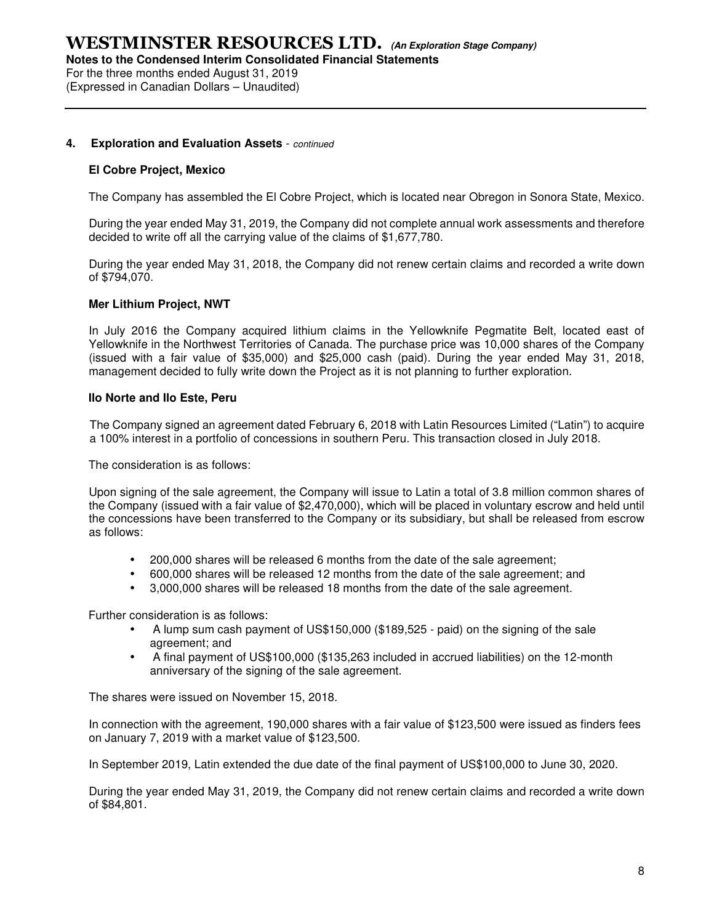For the three months ended August 31, 2019 (Expressed in Canadian Dollars – Unaudited)

#### **4. Exploration and Evaluation Assets** - continued

#### **El Cobre Project, Mexico**

The Company has assembled the El Cobre Project, which is located near Obregon in Sonora State, Mexico.

During the year ended May 31, 2019, the Company did not complete annual work assessments and therefore decided to write off all the carrying value of the claims of \$1,677,780.

During the year ended May 31, 2018, the Company did not renew certain claims and recorded a write down of \$794,070.

#### **Mer Lithium Project, NWT**

In July 2016 the Company acquired lithium claims in the Yellowknife Pegmatite Belt, located east of Yellowknife in the Northwest Territories of Canada. The purchase price was 10,000 shares of the Company (issued with a fair value of \$35,000) and \$25,000 cash (paid). During the year ended May 31, 2018, management decided to fully write down the Project as it is not planning to further exploration.

#### **Ilo Norte and Ilo Este, Peru**

The Company signed an agreement dated February 6, 2018 with Latin Resources Limited ("Latin") to acquire a 100% interest in a portfolio of concessions in southern Peru. This transaction closed in July 2018.

The consideration is as follows:

Upon signing of the sale agreement, the Company will issue to Latin a total of 3.8 million common shares of the Company (issued with a fair value of \$2,470,000), which will be placed in voluntary escrow and held until the concessions have been transferred to the Company or its subsidiary, but shall be released from escrow as follows:

- 200,000 shares will be released 6 months from the date of the sale agreement;
- 600,000 shares will be released 12 months from the date of the sale agreement; and
- 3,000,000 shares will be released 18 months from the date of the sale agreement.

Further consideration is as follows:

- A lump sum cash payment of US\$150,000 (\$189,525 paid) on the signing of the sale agreement; and
- A final payment of US\$100,000 (\$135,263 included in accrued liabilities) on the 12-month anniversary of the signing of the sale agreement.

The shares were issued on November 15, 2018.

In connection with the agreement, 190,000 shares with a fair value of \$123,500 were issued as finders fees on January 7, 2019 with a market value of \$123,500.

In September 2019, Latin extended the due date of the final payment of US\$100,000 to June 30, 2020.

During the year ended May 31, 2019, the Company did not renew certain claims and recorded a write down of \$84,801.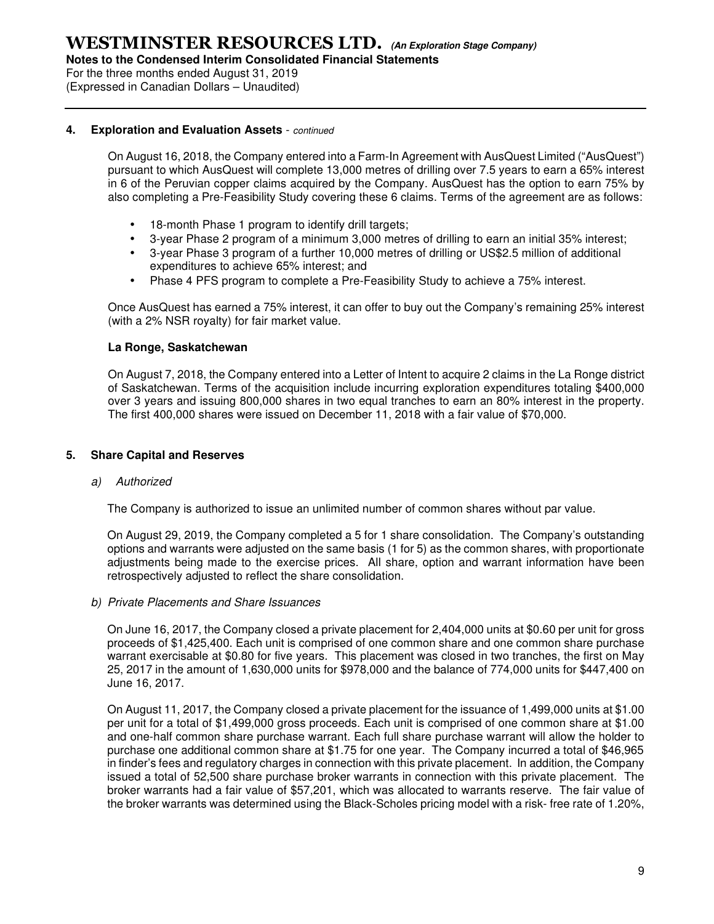**Notes to the Condensed Interim Consolidated Financial Statements** 

For the three months ended August 31, 2019

(Expressed in Canadian Dollars – Unaudited)

#### **4. Exploration and Evaluation Assets** - continued

On August 16, 2018, the Company entered into a Farm-In Agreement with AusQuest Limited ("AusQuest") pursuant to which AusQuest will complete 13,000 metres of drilling over 7.5 years to earn a 65% interest in 6 of the Peruvian copper claims acquired by the Company. AusQuest has the option to earn 75% by also completing a Pre-Feasibility Study covering these 6 claims. Terms of the agreement are as follows:

- 18-month Phase 1 program to identify drill targets;
- 3-year Phase 2 program of a minimum 3,000 metres of drilling to earn an initial 35% interest;
- 3-year Phase 3 program of a further 10,000 metres of drilling or US\$2.5 million of additional expenditures to achieve 65% interest; and
- Phase 4 PFS program to complete a Pre-Feasibility Study to achieve a 75% interest.

Once AusQuest has earned a 75% interest, it can offer to buy out the Company's remaining 25% interest (with a 2% NSR royalty) for fair market value.

#### **La Ronge, Saskatchewan**

On August 7, 2018, the Company entered into a Letter of Intent to acquire 2 claims in the La Ronge district of Saskatchewan. Terms of the acquisition include incurring exploration expenditures totaling \$400,000 over 3 years and issuing 800,000 shares in two equal tranches to earn an 80% interest in the property. The first 400,000 shares were issued on December 11, 2018 with a fair value of \$70,000.

#### **5. Share Capital and Reserves**

#### a) Authorized

The Company is authorized to issue an unlimited number of common shares without par value.

On August 29, 2019, the Company completed a 5 for 1 share consolidation. The Company's outstanding options and warrants were adjusted on the same basis (1 for 5) as the common shares, with proportionate adjustments being made to the exercise prices. All share, option and warrant information have been retrospectively adjusted to reflect the share consolidation.

b) Private Placements and Share Issuances

On June 16, 2017, the Company closed a private placement for 2,404,000 units at \$0.60 per unit for gross proceeds of \$1,425,400. Each unit is comprised of one common share and one common share purchase warrant exercisable at \$0.80 for five years. This placement was closed in two tranches, the first on May 25, 2017 in the amount of 1,630,000 units for \$978,000 and the balance of 774,000 units for \$447,400 on June 16, 2017.

On August 11, 2017, the Company closed a private placement for the issuance of 1,499,000 units at \$1.00 per unit for a total of \$1,499,000 gross proceeds. Each unit is comprised of one common share at \$1.00 and one-half common share purchase warrant. Each full share purchase warrant will allow the holder to purchase one additional common share at \$1.75 for one year. The Company incurred a total of \$46,965 in finder's fees and regulatory charges in connection with this private placement. In addition, the Company issued a total of 52,500 share purchase broker warrants in connection with this private placement. The broker warrants had a fair value of \$57,201, which was allocated to warrants reserve. The fair value of the broker warrants was determined using the Black-Scholes pricing model with a risk- free rate of 1.20%,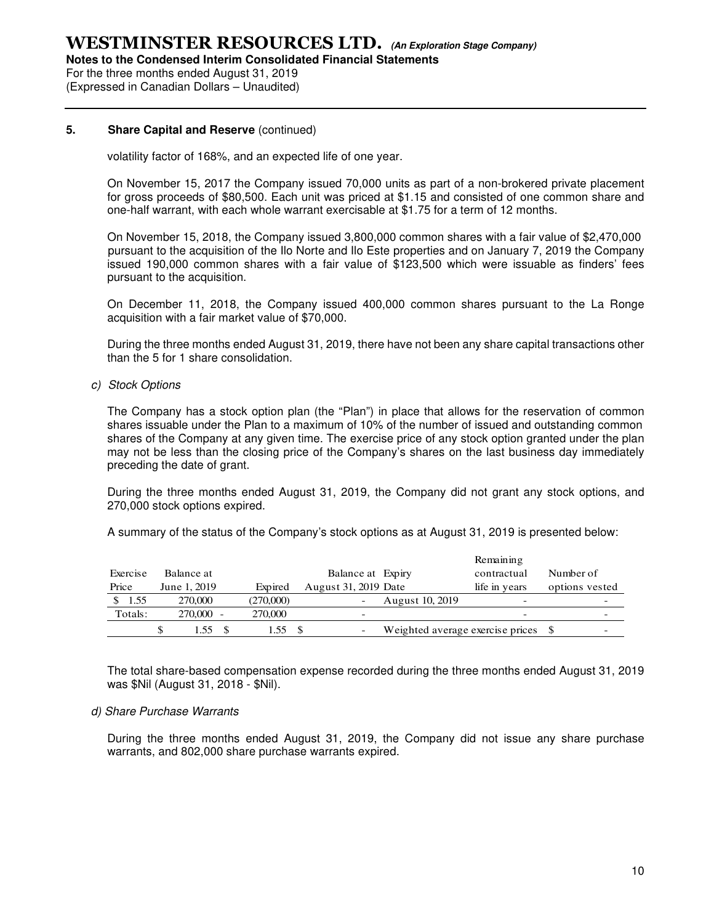**Notes to the Condensed Interim Consolidated Financial Statements** 

For the three months ended August 31, 2019 (Expressed in Canadian Dollars – Unaudited)

#### **5.** Share Capital and Reserve (continued)

volatility factor of 168%, and an expected life of one year.

On November 15, 2017 the Company issued 70,000 units as part of a non-brokered private placement for gross proceeds of \$80,500. Each unit was priced at \$1.15 and consisted of one common share and one-half warrant, with each whole warrant exercisable at \$1.75 for a term of 12 months.

On November 15, 2018, the Company issued 3,800,000 common shares with a fair value of \$2,470,000 pursuant to the acquisition of the Ilo Norte and Ilo Este properties and on January 7, 2019 the Company issued 190,000 common shares with a fair value of \$123,500 which were issuable as finders' fees pursuant to the acquisition.

On December 11, 2018, the Company issued 400,000 common shares pursuant to the La Ronge acquisition with a fair market value of \$70,000.

During the three months ended August 31, 2019, there have not been any share capital transactions other than the 5 for 1 share consolidation.

c) Stock Options

The Company has a stock option plan (the "Plan") in place that allows for the reservation of common shares issuable under the Plan to a maximum of 10% of the number of issued and outstanding common shares of the Company at any given time. The exercise price of any stock option granted under the plan may not be less than the closing price of the Company's shares on the last business day immediately preceding the date of grant.

During the three months ended August 31, 2019, the Company did not grant any stock options, and 270,000 stock options expired.

A summary of the status of the Company's stock options as at August 31, 2019 is presented below:

|          |              |            |           |                      |                                     | Remaining     |           |                |
|----------|--------------|------------|-----------|----------------------|-------------------------------------|---------------|-----------|----------------|
| Exercise |              | Balance at |           | Balance at Expiry    |                                     | contractual   | Number of |                |
| Price    | June 1, 2019 |            | Expired   | August 31, 2019 Date |                                     | life in years |           | options vested |
| 1.55     |              | 270,000    | (270,000) |                      | August 10, 2019                     |               |           |                |
| Totals:  |              | 270,000 -  | 270,000   |                      |                                     |               |           | -              |
|          |              | 1.55       | 1.55      | -                    | Weighted average exercise prices \$ |               |           | -              |

The total share-based compensation expense recorded during the three months ended August 31, 2019 was \$Nil (August 31, 2018 - \$Nil).

#### d) Share Purchase Warrants

During the three months ended August 31, 2019, the Company did not issue any share purchase warrants, and 802,000 share purchase warrants expired.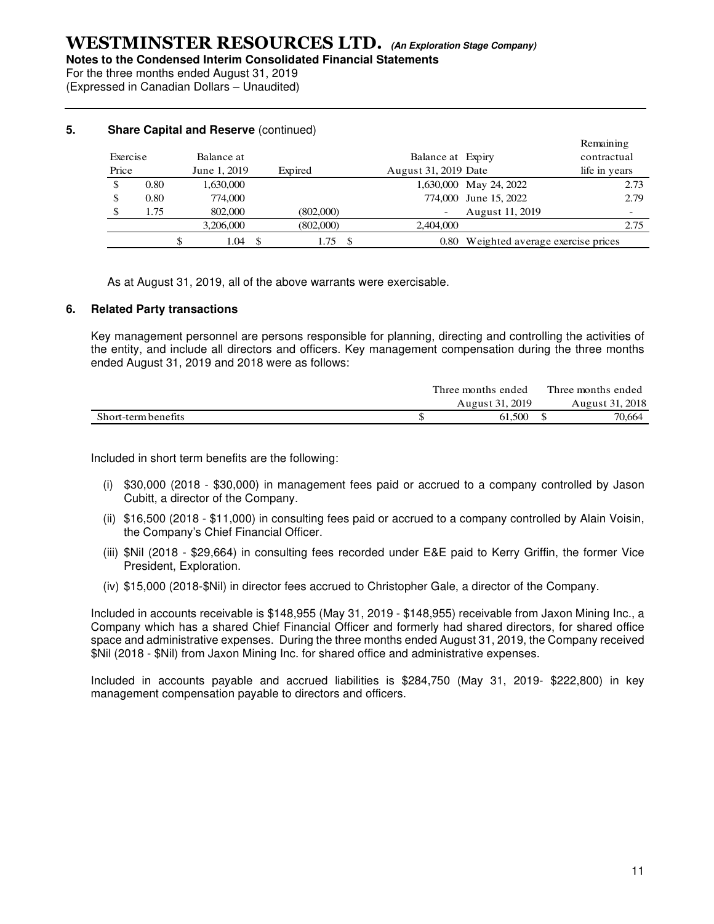For the three months ended August 31, 2019 (Expressed in Canadian Dollars – Unaudited)

> Remaining Exercise Balance at Balance at Balance at Balance at Expiry contractual Price June 1, 2019 Expired August 31, 2019 Date life in years \$ 0.80 1,630,000 1,630,000 1,630,000 1,630,000 1,630,000 1,630,000 1,630,000 1,630,000 1,630,000 1,630,000 1,630,000 1,630,000 1,630,000 1,630,000 1,630,000 1,630,000 1,630,000 1,630,000 1,630,000 1,630,000 1,630,000 1,630 \$ 0.80 774,000 774,000 774,000 June 15, 2022 2.79 \$ 1.75 802,000 (802,000) - August 11, 2019 (802,000) 3,206,000 2,404,000 2.75 \$ 1.04 \$ 1.75 \$ 0.80 Weighted average exercise prices

#### **5.** Share Capital and Reserve (continued)

As at August 31, 2019, all of the above warrants were exercisable.

#### **6. Related Party transactions**

Key management personnel are persons responsible for planning, directing and controlling the activities of the entity, and include all directors and officers. Key management compensation during the three months ended August 31, 2019 and 2018 were as follows:

|                     | Three months ended | Three months ended |
|---------------------|--------------------|--------------------|
|                     | August 31, 2019    | August 31, 2018    |
| Short-term benefits | 61.500             | 70.664             |

Included in short term benefits are the following:

- (i) \$30,000 (2018 \$30,000) in management fees paid or accrued to a company controlled by Jason Cubitt, a director of the Company.
- (ii) \$16,500 (2018 \$11,000) in consulting fees paid or accrued to a company controlled by Alain Voisin, the Company's Chief Financial Officer.
- (iii) \$Nil (2018 \$29,664) in consulting fees recorded under E&E paid to Kerry Griffin, the former Vice President, Exploration.
- (iv) \$15,000 (2018-\$Nil) in director fees accrued to Christopher Gale, a director of the Company.

Included in accounts receivable is \$148,955 (May 31, 2019 - \$148,955) receivable from Jaxon Mining Inc., a Company which has a shared Chief Financial Officer and formerly had shared directors, for shared office space and administrative expenses. During the three months ended August 31, 2019, the Company received \$Nil (2018 - \$Nil) from Jaxon Mining Inc. for shared office and administrative expenses.

Included in accounts payable and accrued liabilities is \$284,750 (May 31, 2019- \$222,800) in key management compensation payable to directors and officers.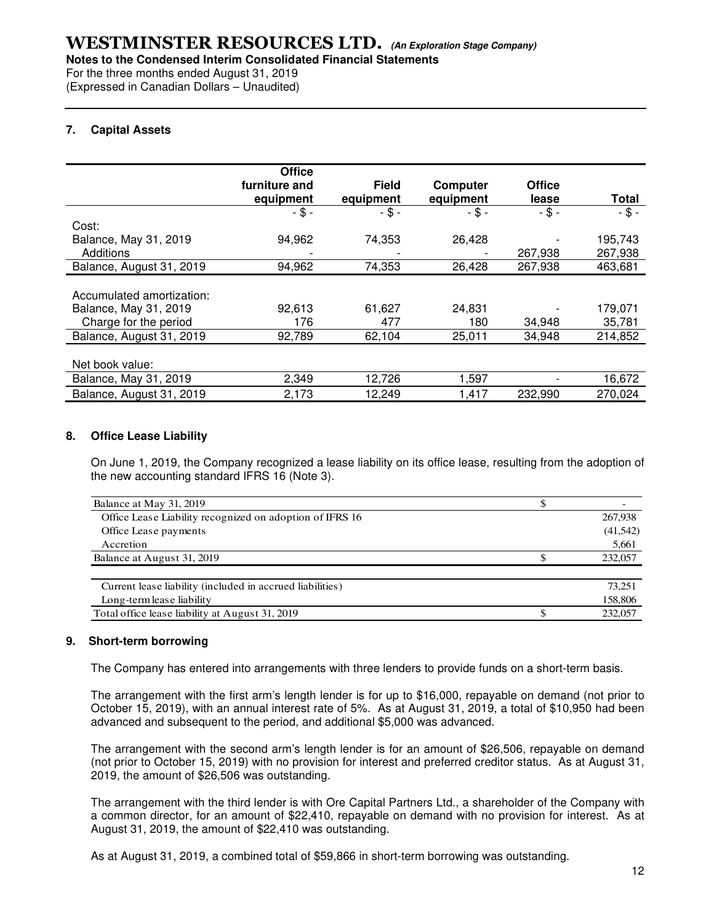For the three months ended August 31, 2019

(Expressed in Canadian Dollars – Unaudited)

#### **7. Capital Assets**

|                           | <b>Office</b><br>furniture and<br>equipment | <b>Field</b><br>equipment | Computer<br>equipment | <b>Office</b><br>lease | Total    |
|---------------------------|---------------------------------------------|---------------------------|-----------------------|------------------------|----------|
|                           | $- $ -$                                     | $-$ \$ -                  | $-$ \$ -              | $-$ \$ -               | $-$ \$ - |
| Cost:                     |                                             |                           |                       |                        |          |
| Balance, May 31, 2019     | 94,962                                      | 74,353                    | 26,428                |                        | 195,743  |
| Additions                 |                                             |                           |                       | 267,938                | 267,938  |
| Balance, August 31, 2019  | 94,962                                      | 74,353                    | 26,428                | 267,938                | 463,681  |
| Accumulated amortization: |                                             |                           |                       |                        |          |
| Balance, May 31, 2019     | 92,613                                      | 61,627                    | 24,831                |                        | 179,071  |
| Charge for the period     | 176                                         | 477                       | 180                   | 34,948                 | 35,781   |
| Balance, August 31, 2019  | 92,789                                      | 62,104                    | 25,011                | 34,948                 | 214,852  |
| Net book value:           |                                             |                           |                       |                        |          |
| Balance, May 31, 2019     | 2,349                                       | 12,726                    | 1,597                 |                        | 16,672   |
| Balance, August 31, 2019  | 2,173                                       | 12,249                    | 1,417                 | 232,990                | 270,024  |

#### **8. Office Lease Liability**

On June 1, 2019, the Company recognized a lease liability on its office lease, resulting from the adoption of the new accounting standard IFRS 16 (Note 3).

| Balance at May 31, 2019                                   |          |
|-----------------------------------------------------------|----------|
| Office Lease Liability recognized on adoption of IFRS 16  | 267,938  |
| Office Lease payments                                     | (41,542) |
| Accretion                                                 | 5,661    |
| Balance at August 31, 2019                                | 232,057  |
|                                                           |          |
| Current lease liability (included in accrued liabilities) | 73.251   |
| Long-term lease liability                                 | 158,806  |
| Total office lease liability at August 31, 2019           | 232,057  |

#### **9. Short-term borrowing**

The Company has entered into arrangements with three lenders to provide funds on a short-term basis.

The arrangement with the first arm's length lender is for up to \$16,000, repayable on demand (not prior to October 15, 2019), with an annual interest rate of 5%. As at August 31, 2019, a total of \$10,950 had been advanced and subsequent to the period, and additional \$5,000 was advanced.

The arrangement with the second arm's length lender is for an amount of \$26,506, repayable on demand (not prior to October 15, 2019) with no provision for interest and preferred creditor status. As at August 31, 2019, the amount of \$26,506 was outstanding.

The arrangement with the third lender is with Ore Capital Partners Ltd., a shareholder of the Company with a common director, for an amount of \$22,410, repayable on demand with no provision for interest. As at August 31, 2019, the amount of \$22,410 was outstanding.

As at August 31, 2019, a combined total of \$59,866 in short-term borrowing was outstanding.